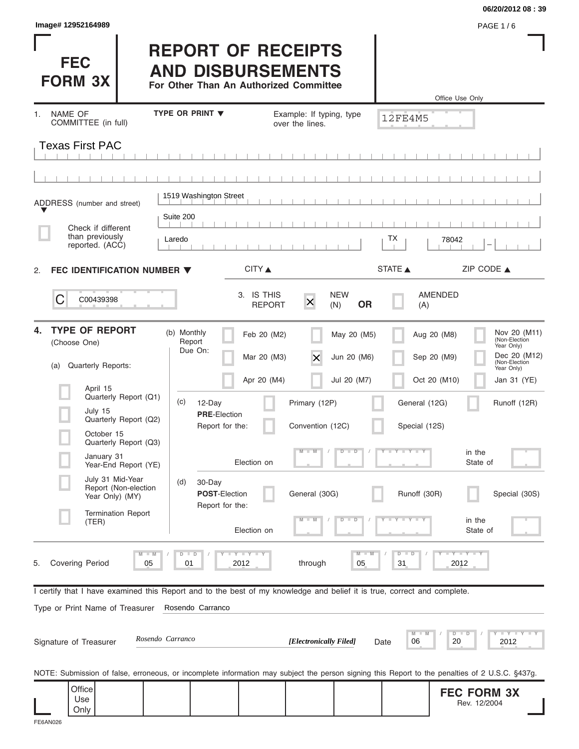|                                                                                                                                                |                                                                                                 |                                                        |                                |                            | 06/20/2012 08:39                                                                           |
|------------------------------------------------------------------------------------------------------------------------------------------------|-------------------------------------------------------------------------------------------------|--------------------------------------------------------|--------------------------------|----------------------------|--------------------------------------------------------------------------------------------|
| Image# 12952164989                                                                                                                             |                                                                                                 |                                                        |                                |                            | <b>PAGE 1/6</b>                                                                            |
| <b>FEC</b><br><b>FORM 3X</b>                                                                                                                   | <b>REPORT OF RECEIPTS</b><br><b>AND DISBURSEMENTS</b><br>For Other Than An Authorized Committee |                                                        |                                | Office Use Only            |                                                                                            |
| <b>NAME OF</b><br>1.                                                                                                                           | TYPE OR PRINT $\blacktriangledown$                                                              | Example: If typing, type                               |                                |                            |                                                                                            |
| COMMITTEE (in full)                                                                                                                            |                                                                                                 | over the lines.                                        |                                | 12FE4M5                    |                                                                                            |
| <b>Texas First PAC</b>                                                                                                                         |                                                                                                 |                                                        |                                |                            |                                                                                            |
|                                                                                                                                                | 1519 Washington Street                                                                          |                                                        |                                |                            |                                                                                            |
| ADDRESS (number and street)                                                                                                                    | Suite 200                                                                                       |                                                        |                                |                            |                                                                                            |
| Check if different<br>than previously                                                                                                          |                                                                                                 |                                                        |                                |                            |                                                                                            |
| reported. (ACC)                                                                                                                                | Laredo                                                                                          |                                                        |                                | ТX<br>78042                |                                                                                            |
| FEC IDENTIFICATION NUMBER $\blacktriangledown$<br>2.                                                                                           |                                                                                                 | CITY ▲                                                 |                                | STATE A                    | ZIP CODE $\triangle$                                                                       |
| C<br>C00439398                                                                                                                                 |                                                                                                 | 3. IS THIS<br>$\overline{\mathsf{x}}$<br><b>REPORT</b> | <b>NEW</b><br><b>OR</b><br>(N) | AMENDED<br>(A)             |                                                                                            |
| <b>TYPE OF REPORT</b><br>4.<br>(Choose One)<br>Quarterly Reports:<br>(a)                                                                       | (b) Monthly<br>Report<br>Due On:                                                                | Feb 20 (M2)<br>Mar 20 (M3)<br>$\times$                 | May 20 (M5)<br>Jun 20 (M6)     | Aug 20 (M8)<br>Sep 20 (M9) | Nov 20 (M11)<br>(Non-Election<br>Year Only)<br>Dec 20 (M12)<br>(Non-Election<br>Year Only) |
| April 15                                                                                                                                       |                                                                                                 | Apr 20 (M4)                                            | Jul 20 (M7)                    | Oct 20 (M10)               | Jan 31 (YE)                                                                                |
| Quarterly Report (Q1)<br>July 15                                                                                                               | (c)<br>12-Day<br><b>PRE-Election</b>                                                            | Primary (12P)                                          |                                | General (12G)              | Runoff (12R)                                                                               |
| Quarterly Report (Q2)<br>October 15                                                                                                            | Report for the:                                                                                 | Convention (12C)                                       |                                | Special (12S)              |                                                                                            |
| Quarterly Report (Q3)<br>January 31<br>Year-End Report (YE)                                                                                    |                                                                                                 | $M$ $M$<br>Election on                                 | $\overline{D}$<br>$\Box$       | $T - Y - T - Y - T$        | in the<br>State of                                                                         |
| July 31 Mid-Year<br>Report (Non-election<br>Year Only) (MY)                                                                                    | (d)<br>30-Day<br>POST-Election<br>Report for the:                                               | General (30G)                                          |                                | Runoff (30R)               | Special (30S)                                                                              |
| <b>Termination Report</b><br>(TER)                                                                                                             |                                                                                                 | Election on                                            | $\overline{\mathbf{D}}$<br>D   |                            | in the<br>State of                                                                         |
| $M - M$<br><b>Covering Period</b><br>05<br>5.                                                                                                  | <b>LYLYLY</b><br>$\Box$<br>$\overline{D}$<br>01<br>2012                                         | through                                                | $M - M$<br>05                  | $D$ $D$<br>31<br>2012      | $-Y - Y - Y$                                                                               |
| I certify that I have examined this Report and to the best of my knowledge and belief it is true, correct and complete.                        |                                                                                                 |                                                        |                                |                            |                                                                                            |
| Type or Print Name of Treasurer                                                                                                                | Rosendo Carranco                                                                                |                                                        |                                |                            |                                                                                            |
| Rosendo Carranco<br>Signature of Treasurer                                                                                                     |                                                                                                 | [Electronically Filed]                                 | Date                           | M<br>06<br>20              | $\bot$ $\gamma$ $\bot$ $\gamma$ $\bot$ $\gamma$<br>$D$ $D$<br>2012                         |
| NOTE: Submission of false, erroneous, or incomplete information may subject the person signing this Report to the penalties of 2 U.S.C. §437g. |                                                                                                 |                                                        |                                |                            |                                                                                            |
| Office<br>Use<br>Only                                                                                                                          |                                                                                                 |                                                        |                                |                            | <b>FEC FORM 3X</b><br>Rev. 12/2004                                                         |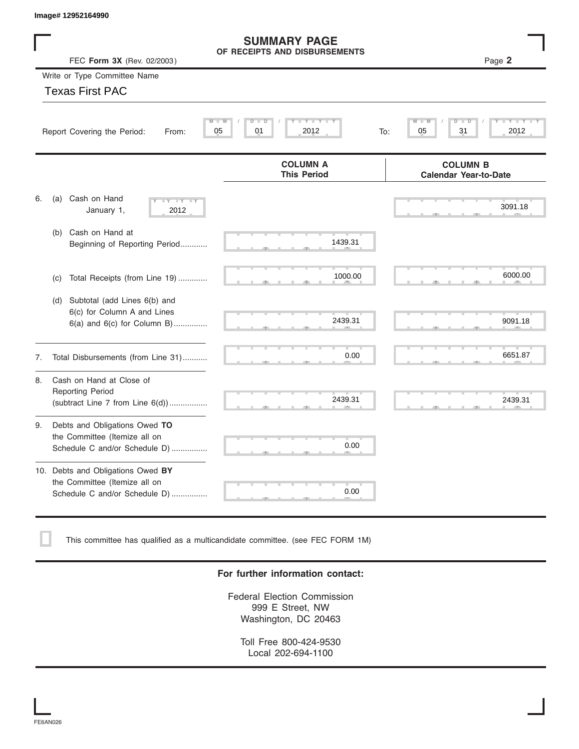|    | Image# 12952164990                                                                                    |                                                                                                              |                                                                                                      |
|----|-------------------------------------------------------------------------------------------------------|--------------------------------------------------------------------------------------------------------------|------------------------------------------------------------------------------------------------------|
|    | FEC Form 3X (Rev. 02/2003)                                                                            | <b>SUMMARY PAGE</b><br>OF RECEIPTS AND DISBURSEMENTS                                                         | Page 2                                                                                               |
|    | Write or Type Committee Name                                                                          |                                                                                                              |                                                                                                      |
|    | <b>Texas First PAC</b>                                                                                |                                                                                                              |                                                                                                      |
|    | $\overline{\mathsf{M}}$<br>Report Covering the Period:<br>From:                                       | $\mathbf{I} = \mathbf{Y}$ $\mathbf{I} = \mathbf{Y}$<br>$D^{-1}$<br>$\overline{D}$<br>01<br>2012<br>05<br>To: | $\overline{\mathbf{M}}$<br>т<br>Y I<br>$\overline{\mathsf{Y}}$<br>$\overline{D}$<br>31<br>2012<br>05 |
|    |                                                                                                       | <b>COLUMN A</b><br><b>This Period</b>                                                                        | <b>COLUMN B</b><br><b>Calendar Year-to-Date</b>                                                      |
| 6. | Cash on Hand<br>(a)<br>$- Y - I Y$<br>$\overline{\phantom{a}}$<br>January 1,<br>2012                  |                                                                                                              | 3091.18                                                                                              |
|    | Cash on Hand at<br>(b)<br>Beginning of Reporting Period                                               | 1439.31                                                                                                      |                                                                                                      |
|    | Total Receipts (from Line 19)<br>(c)                                                                  | 1000.00                                                                                                      | 6000.00                                                                                              |
|    | Subtotal (add Lines 6(b) and<br>(d)<br>6(c) for Column A and Lines<br>$6(a)$ and $6(c)$ for Column B) | 2439.31                                                                                                      | 9091.18                                                                                              |
| 7. | Total Disbursements (from Line 31)                                                                    | 0.00                                                                                                         | 6651.87                                                                                              |
| 8. | Cash on Hand at Close of<br><b>Reporting Period</b><br>(subtract Line $7$ from Line $6(d)$ )          | 2439.31                                                                                                      | 2439.31                                                                                              |
| 9. | Debts and Obligations Owed TO<br>the Committee (Itemize all on<br>Schedule C and/or Schedule D)       | 0.00                                                                                                         |                                                                                                      |
|    | 10. Debts and Obligations Owed BY<br>the Committee (Itemize all on<br>Schedule C and/or Schedule D)   | 0.00                                                                                                         |                                                                                                      |

This committee has qualified as a multicandidate committee. (see FEC FORM 1M)

#### **For further information contact:**

Federal Election Commission 999 E Street, NW Washington, DC 20463

Toll Free 800-424-9530 Local 202-694-1100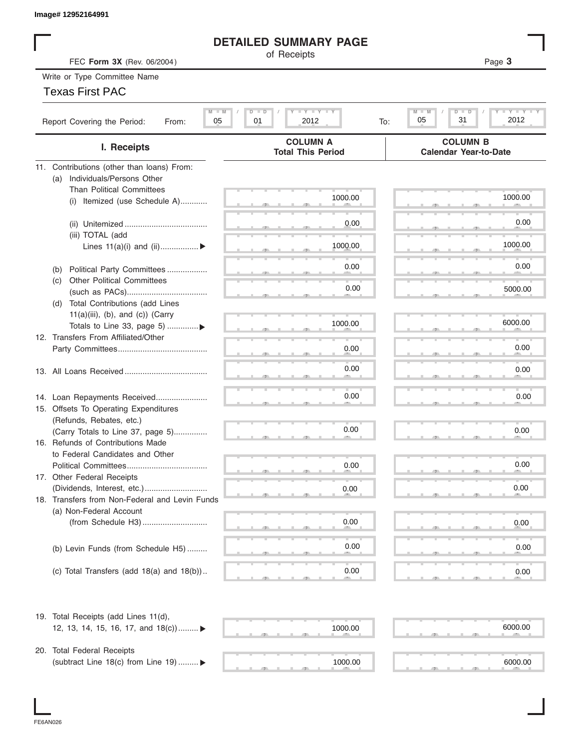|  | lmaqe# 12952164991 |
|--|--------------------|
|--|--------------------|

### **DETAILED SUMMARY PAGE**

| Image# 12952164991                                                           |                                                         |                                                              |
|------------------------------------------------------------------------------|---------------------------------------------------------|--------------------------------------------------------------|
|                                                                              | <b>DETAILED SUMMARY PAGE</b>                            |                                                              |
| FEC Form 3X (Rev. 06/2004)                                                   | of Receipts                                             | Page 3                                                       |
| Write or Type Committee Name                                                 |                                                         |                                                              |
| <b>Texas First PAC</b>                                                       |                                                         |                                                              |
|                                                                              |                                                         |                                                              |
| $M - M$<br>Report Covering the Period:<br>05<br>From:                        | $T - Y = T - Y = T - Y$<br>$D - I$<br>01<br>2012<br>To: | $L - Y - L - Y - L$<br>M<br>$D - I$<br>ъ<br>31<br>2012<br>05 |
| I. Receipts                                                                  | <b>COLUMN A</b><br><b>Total This Period</b>             | <b>COLUMN B</b><br><b>Calendar Year-to-Date</b>              |
| 11. Contributions (other than loans) From:                                   |                                                         |                                                              |
| Individuals/Persons Other<br>(a)                                             |                                                         |                                                              |
| <b>Than Political Committees</b>                                             |                                                         |                                                              |
| Itemized (use Schedule A)<br>(i)                                             | 1000.00                                                 | 1000.00                                                      |
|                                                                              |                                                         |                                                              |
|                                                                              | 0.00                                                    | 0.00                                                         |
| (iii) TOTAL (add                                                             |                                                         |                                                              |
| Lines $11(a)(i)$ and $(ii)$                                                  | 1000.00                                                 | 1000.00                                                      |
|                                                                              | 0.00                                                    | 0.00                                                         |
| Political Party Committees<br>(b)                                            |                                                         |                                                              |
| <b>Other Political Committees</b><br>(C)                                     | 0.00                                                    | 5000.00                                                      |
|                                                                              |                                                         |                                                              |
| Total Contributions (add Lines<br>(d)<br>$11(a)(iii)$ , (b), and (c)) (Carry |                                                         |                                                              |
| Totals to Line 33, page 5) ▶                                                 | 1000.00                                                 | 6000.00                                                      |
| 12. Transfers From Affiliated/Other                                          |                                                         |                                                              |
|                                                                              | 0.00                                                    | 0.00                                                         |
|                                                                              |                                                         |                                                              |
|                                                                              | 0.00                                                    | 0.00                                                         |
|                                                                              |                                                         |                                                              |
| 14. Loan Repayments Received                                                 | 0.00                                                    | 0.00                                                         |
| 15. Offsets To Operating Expenditures                                        |                                                         |                                                              |
| (Refunds, Rebates, etc.)                                                     |                                                         |                                                              |
| (Carry Totals to Line 37, page 5)                                            | 0.00                                                    | 0.00                                                         |
| 16. Refunds of Contributions Made                                            |                                                         |                                                              |
| to Federal Candidates and Other                                              |                                                         |                                                              |
| Political Committees                                                         | 0.00                                                    | 0.00                                                         |
| 17. Other Federal Receipts                                                   |                                                         |                                                              |
|                                                                              | 0.00                                                    | 0.00                                                         |
| 18. Transfers from Non-Federal and Levin Funds                               |                                                         |                                                              |
| (a) Non-Federal Account                                                      |                                                         |                                                              |
|                                                                              | 0.00                                                    | 0.00                                                         |
|                                                                              |                                                         |                                                              |
| (b) Levin Funds (from Schedule H5)                                           | 0.00                                                    | 0.00                                                         |
|                                                                              |                                                         |                                                              |
| (c) Total Transfers (add $18(a)$ and $18(b)$ )                               | 0.00                                                    | 0.00                                                         |
|                                                                              |                                                         |                                                              |
| 19. Total Receipts (add Lines 11(d),                                         |                                                         |                                                              |
| 12, 13, 14, 15, 16, 17, and 18(c)) ▶                                         | 1000.00                                                 | 6000.00                                                      |
|                                                                              |                                                         |                                                              |
| 20. Total Federal Receipts                                                   |                                                         |                                                              |
| (subtract Line 18(c) from Line 19)  ▶                                        | 1000.00                                                 | 6000.00                                                      |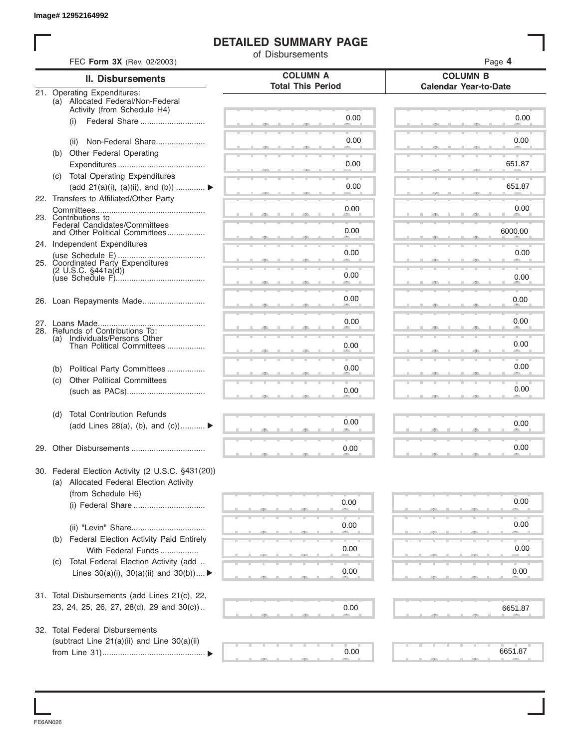## **DETAILED SUMMARY PAGE**

|     |                                                                      | of Disbursements         | Page 4                       |
|-----|----------------------------------------------------------------------|--------------------------|------------------------------|
|     | FEC Form 3X (Rev. 02/2003)<br><b>II. Disbursements</b>               | <b>COLUMN A</b>          | <b>COLUMN B</b>              |
|     | 21. Operating Expenditures:                                          | <b>Total This Period</b> | <b>Calendar Year-to-Date</b> |
|     | (a) Allocated Federal/Non-Federal                                    |                          |                              |
|     | Activity (from Schedule H4)<br>Federal Share<br>(i)                  | 0.00                     | 0.00                         |
|     |                                                                      |                          |                              |
|     | Non-Federal Share<br>(ii)                                            | 0.00                     | 0.00                         |
|     | (b) Other Federal Operating                                          |                          |                              |
|     |                                                                      | 0.00                     | 651.87                       |
|     | (c) Total Operating Expenditures<br>(add 21(a)(i), (a)(ii), and (b)) | 0.00                     | 651.87                       |
|     | 22. Transfers to Affiliated/Other Party                              |                          |                              |
|     |                                                                      | 0.00                     | 0.00                         |
|     | 23. Contributions to<br>Federal Candidates/Committees                |                          |                              |
|     | and Other Political Committees                                       | 0.00                     | 6000.00                      |
|     | 24. Independent Expenditures                                         | 0.00                     | 0.00                         |
|     | 25. Coordinated Party Expenditures                                   |                          |                              |
|     | $(2 \text{ U.S.C. } $441a(d))$                                       | 0.00                     | 0.00                         |
|     |                                                                      |                          |                              |
|     |                                                                      | 0.00                     | 0.00                         |
|     |                                                                      |                          |                              |
|     | 28. Refunds of Contributions To:                                     | 0.00                     | 0.00                         |
| (a) | Individuals/Persons Other<br>Than Political Committees               | 0.00                     | 0.00                         |
|     |                                                                      |                          |                              |
| (b) | Political Party Committees                                           | 0.00                     | 0.00                         |
| (c) | <b>Other Political Committees</b>                                    |                          |                              |
|     |                                                                      | 0.00                     | 0.00                         |
| (d) | <b>Total Contribution Refunds</b>                                    |                          |                              |
|     | (add Lines 28(a), (b), and (c))                                      | 0.00                     | 0.00                         |
|     |                                                                      |                          |                              |
|     | 29. Other Disbursements                                              | 0.00                     | 0.00                         |
|     | 30. Federal Election Activity (2 U.S.C. §431(20))                    |                          |                              |
|     | (a) Allocated Federal Election Activity                              |                          |                              |
|     | (from Schedule H6)                                                   | 0.00                     | 0.00                         |
|     |                                                                      |                          |                              |
|     |                                                                      | 0.00                     | 0.00                         |
|     | (b) Federal Election Activity Paid Entirely                          |                          |                              |
|     | With Federal Funds                                                   | 0.00                     | 0.00                         |
| (C) | Total Federal Election Activity (add                                 |                          |                              |
|     | Lines $30(a)(i)$ , $30(a)(ii)$ and $30(b))$                          | 0.00                     | 0.00                         |
|     | 31. Total Disbursements (add Lines 21(c), 22,                        |                          |                              |
|     | 23, 24, 25, 26, 27, 28(d), 29 and 30(c))                             | 0.00                     | 6651.87                      |
|     |                                                                      |                          |                              |
|     | 32. Total Federal Disbursements                                      |                          |                              |
|     | (subtract Line 21(a)(ii) and Line 30(a)(ii)                          |                          |                              |
|     |                                                                      | 0.00                     | 6651.87                      |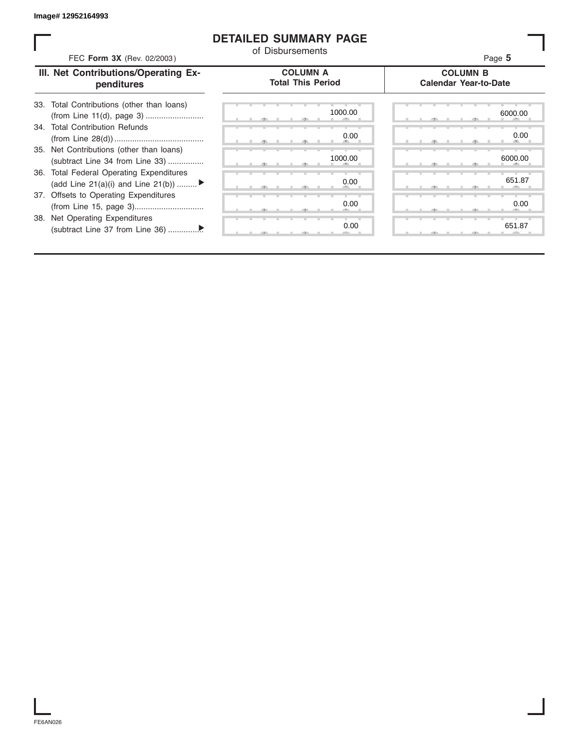#### **DETAILED SUMMARY PAGE**

| FEC Form 3X (Rev. 02/2003)                                                     | of Disbursements                            | Page 5                                          |
|--------------------------------------------------------------------------------|---------------------------------------------|-------------------------------------------------|
| III. Net Contributions/Operating Ex-<br>penditures                             | <b>COLUMN A</b><br><b>Total This Period</b> | <b>COLUMN B</b><br><b>Calendar Year-to-Date</b> |
| 33. Total Contributions (other than loans)                                     | 1000.00                                     | 6000.00                                         |
| 34. Total Contribution Refunds                                                 | 0.00                                        | 0.00                                            |
| 35. Net Contributions (other than loans)<br>(subtract Line 34 from Line 33)    | 1000.00                                     | 6000.00                                         |
| 36. Total Federal Operating Expenditures<br>(add Line 21(a)(i) and Line 21(b)) | 0.00                                        | 651.87                                          |
| 37. Offsets to Operating Expenditures                                          | 0.00                                        | 0.00                                            |
| 38. Net Operating Expenditures                                                 | 0.00                                        | 651.87                                          |